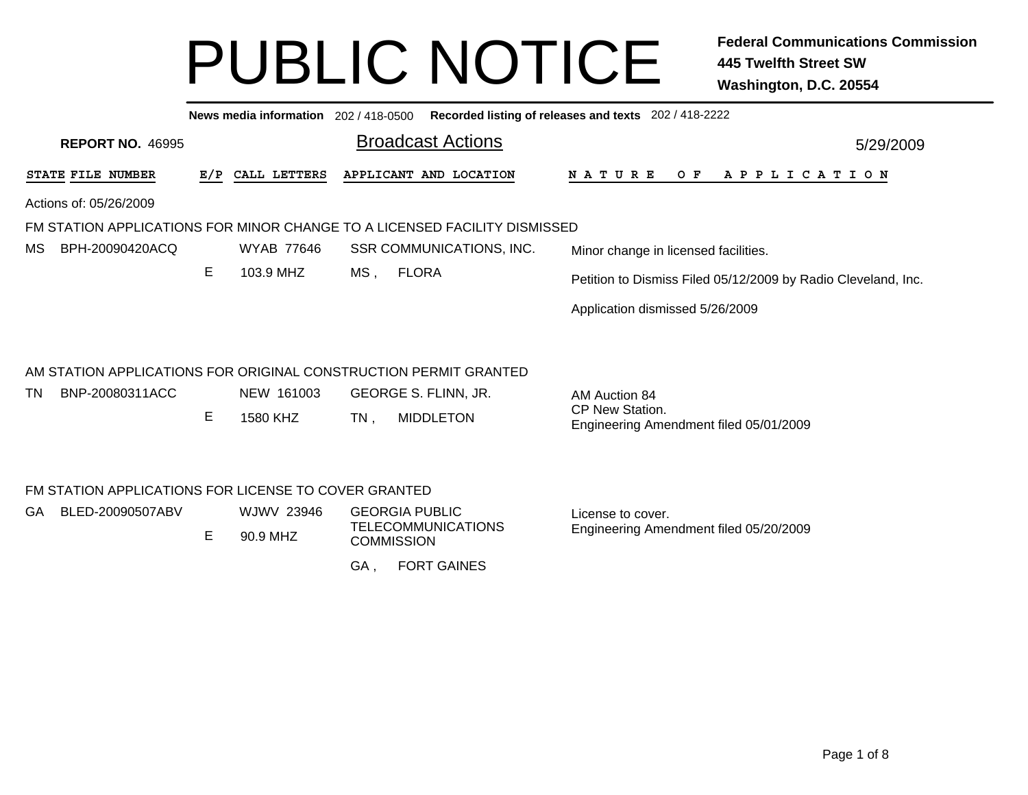|     |                                                                           |     |                        |                        |                                 | News media information 202 / 418-0500 Recorded listing of releases and texts 202 / 418-2222 |
|-----|---------------------------------------------------------------------------|-----|------------------------|------------------------|---------------------------------|---------------------------------------------------------------------------------------------|
|     | <b>REPORT NO. 46995</b>                                                   |     |                        |                        | <b>Broadcast Actions</b>        | 5/29/2009                                                                                   |
|     | STATE FILE NUMBER                                                         | E/P | CALL LETTERS           |                        | APPLICANT AND LOCATION          | O F<br>A P P L I C A T I O N<br>N A T U R E                                                 |
|     | Actions of: 05/26/2009                                                    |     |                        |                        |                                 |                                                                                             |
|     | FM STATION APPLICATIONS FOR MINOR CHANGE TO A LICENSED FACILITY DISMISSED |     |                        |                        |                                 |                                                                                             |
| МS  | BPH-20090420ACQ                                                           |     | <b>WYAB 77646</b>      |                        | <b>SSR COMMUNICATIONS, INC.</b> | Minor change in licensed facilities.                                                        |
|     |                                                                           | Е   | 103.9 MHZ              | <b>FLORA</b><br>$MS$ , |                                 | Petition to Dismiss Filed 05/12/2009 by Radio Cleveland, Inc.                               |
|     |                                                                           |     |                        |                        |                                 | Application dismissed 5/26/2009                                                             |
|     | AM STATION APPLICATIONS FOR ORIGINAL CONSTRUCTION PERMIT GRANTED          |     |                        |                        |                                 |                                                                                             |
| TN. | BNP-20080311ACC                                                           |     | NEW 161003             | GEORGE S. FLINN, JR.   |                                 | AM Auction 84                                                                               |
|     |                                                                           | Е   | 1580 KHZ               | $TN$ ,                 | <b>MIDDLETON</b>                | CP New Station.<br>Engineering Amendment filed 05/01/2009                                   |
|     | FM STATION APPLICATIONS FOR LICENSE TO COVER GRANTED                      |     |                        |                        |                                 |                                                                                             |
| GA. | BLED-20090507ABV                                                          | Е   | WJWV 23946<br>90.9 MHZ | <b>GEORGIA PUBLIC</b>  | <b>TELECOMMUNICATIONS</b>       | License to cover.<br>Engineering Amendment filed 05/20/2009                                 |
|     |                                                                           |     |                        | <b>COMMISSION</b>      |                                 |                                                                                             |
|     |                                                                           |     |                        | GA,                    | <b>FORT GAINES</b>              |                                                                                             |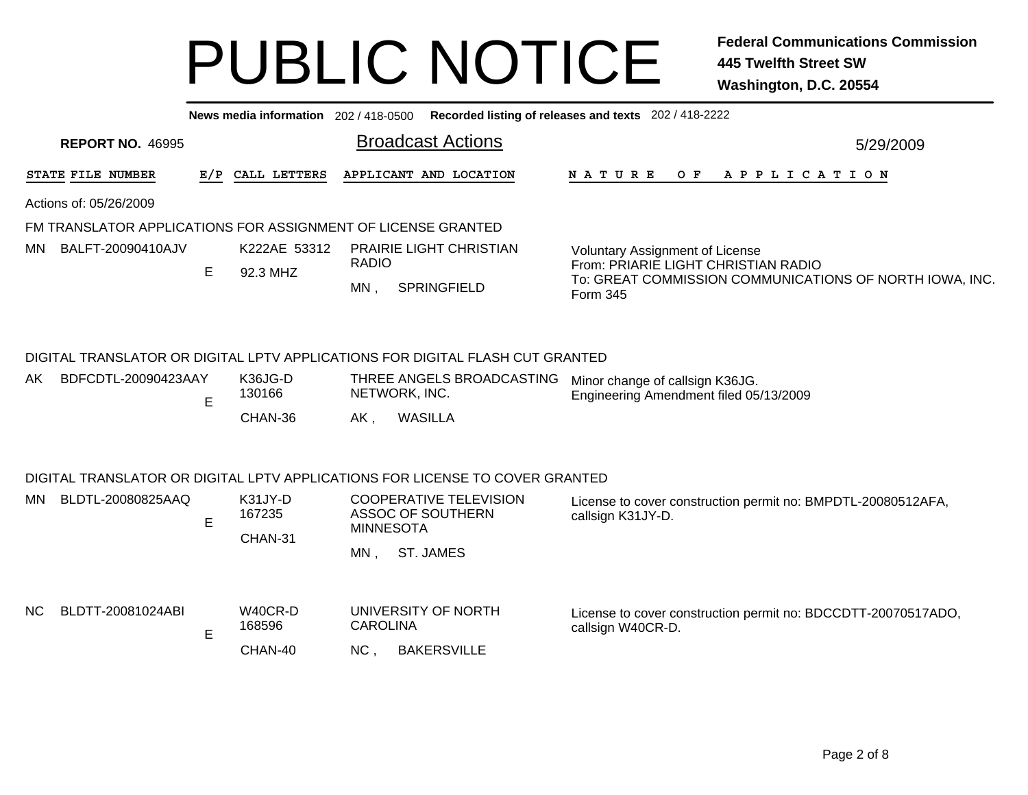|     |                                                              |   |                              |                             |                                                                                                                                               | News media information 202 / 418-0500 Recorded listing of releases and texts 202 / 418-2222                |           |  |  |  |  |  |
|-----|--------------------------------------------------------------|---|------------------------------|-----------------------------|-----------------------------------------------------------------------------------------------------------------------------------------------|------------------------------------------------------------------------------------------------------------|-----------|--|--|--|--|--|
|     | <b>REPORT NO. 46995</b>                                      |   |                              |                             | <b>Broadcast Actions</b>                                                                                                                      |                                                                                                            | 5/29/2009 |  |  |  |  |  |
|     | STATE FILE NUMBER                                            |   | E/P CALL LETTERS             |                             | APPLICANT AND LOCATION                                                                                                                        | <b>NATURE</b><br>O F<br>A P P L I C A T I O N                                                              |           |  |  |  |  |  |
|     | Actions of: 05/26/2009                                       |   |                              |                             |                                                                                                                                               |                                                                                                            |           |  |  |  |  |  |
|     | FM TRANSLATOR APPLICATIONS FOR ASSIGNMENT OF LICENSE GRANTED |   |                              |                             |                                                                                                                                               |                                                                                                            |           |  |  |  |  |  |
| MN. | BALFT-20090410AJV                                            |   | K222AE 53312                 |                             | <b>PRAIRIE LIGHT CHRISTIAN</b>                                                                                                                | <b>Voluntary Assignment of License</b>                                                                     |           |  |  |  |  |  |
|     |                                                              | E | 92.3 MHZ                     | <b>RADIO</b><br>$MN$ ,      | <b>SPRINGFIELD</b>                                                                                                                            | From: PRIARIE LIGHT CHRISTIAN RADIO<br>To: GREAT COMMISSION COMMUNICATIONS OF NORTH IOWA, INC.<br>Form 345 |           |  |  |  |  |  |
| AK  | BDFCDTL-20090423AAY                                          | E | K36JG-D<br>130166<br>CHAN-36 | $AK$ ,                      | DIGITAL TRANSLATOR OR DIGITAL LPTV APPLICATIONS FOR DIGITAL FLASH CUT GRANTED<br>THREE ANGELS BROADCASTING<br>NETWORK, INC.<br><b>WASILLA</b> | Minor change of callsign K36JG.<br>Engineering Amendment filed 05/13/2009                                  |           |  |  |  |  |  |
|     |                                                              |   |                              |                             | DIGITAL TRANSLATOR OR DIGITAL LPTV APPLICATIONS FOR LICENSE TO COVER GRANTED                                                                  |                                                                                                            |           |  |  |  |  |  |
| MN. | BLDTL-20080825AAQ                                            | E | K31JY-D<br>167235<br>CHAN-31 | <b>MINNESOTA</b><br>$MN$ ,  | <b>COOPERATIVE TELEVISION</b><br>ASSOC OF SOUTHERN<br><b>ST. JAMES</b>                                                                        | License to cover construction permit no: BMPDTL-20080512AFA,<br>callsign K31JY-D.                          |           |  |  |  |  |  |
| NC. | BLDTT-20081024ABI                                            | E | W40CR-D<br>168596<br>CHAN-40 | CAROLINA<br>NC <sub>1</sub> | UNIVERSITY OF NORTH<br><b>BAKERSVILLE</b>                                                                                                     | License to cover construction permit no: BDCCDTT-20070517ADO,<br>callsign W40CR-D.                         |           |  |  |  |  |  |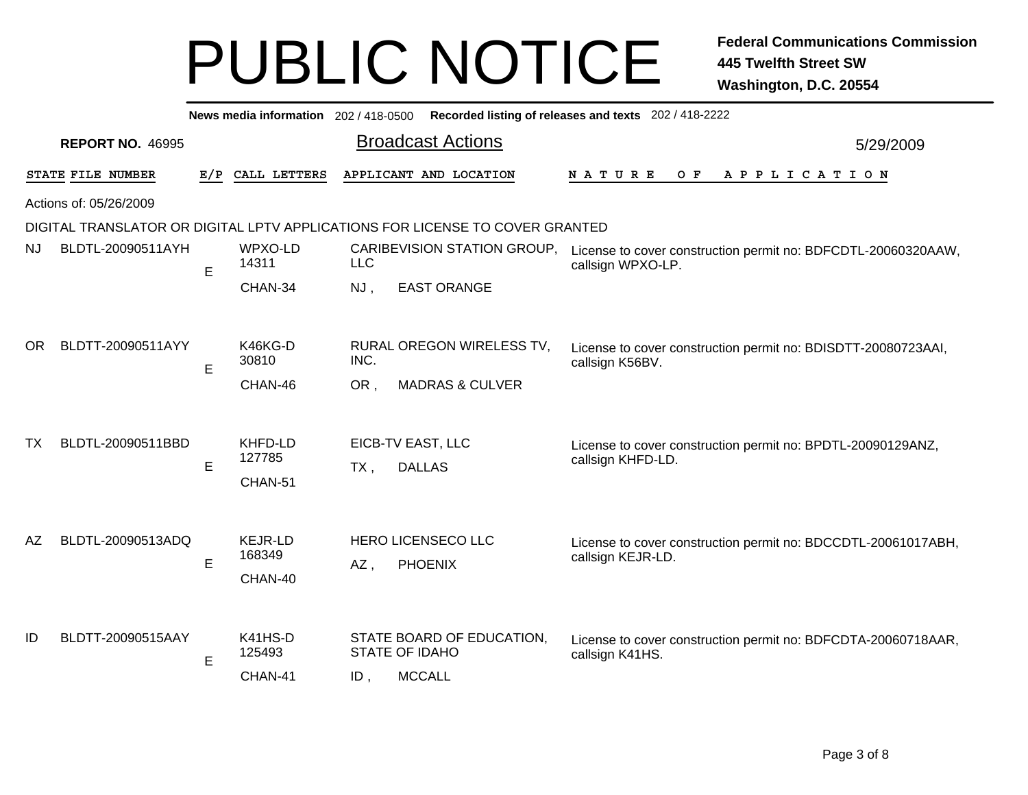|     | News media information 202 / 418-0500 Recorded listing of releases and texts 202 / 418-2222 |     |                                     |            |                                                    |                                                                                    |           |  |  |  |
|-----|---------------------------------------------------------------------------------------------|-----|-------------------------------------|------------|----------------------------------------------------|------------------------------------------------------------------------------------|-----------|--|--|--|
|     | <b>REPORT NO. 46995</b>                                                                     |     |                                     |            | <b>Broadcast Actions</b>                           |                                                                                    | 5/29/2009 |  |  |  |
|     | STATE FILE NUMBER                                                                           | E/P | CALL LETTERS                        |            | APPLICANT AND LOCATION                             | NATURE<br>$O$ F<br>APPLICATION                                                     |           |  |  |  |
|     | Actions of: 05/26/2009                                                                      |     |                                     |            |                                                    |                                                                                    |           |  |  |  |
|     | DIGITAL TRANSLATOR OR DIGITAL LPTV APPLICATIONS FOR LICENSE TO COVER GRANTED                |     |                                     |            |                                                    |                                                                                    |           |  |  |  |
| NJ. | BLDTL-20090511AYH                                                                           | E   | WPXO-LD<br>14311                    | <b>LLC</b> | CARIBEVISION STATION GROUP,                        | License to cover construction permit no: BDFCDTL-20060320AAW,<br>callsign WPXO-LP. |           |  |  |  |
|     |                                                                                             |     | CHAN-34                             | NJ,        | <b>EAST ORANGE</b>                                 |                                                                                    |           |  |  |  |
| OR. | BLDTT-20090511AYY                                                                           | E   | K46KG-D<br>30810                    | INC.       | RURAL OREGON WIRELESS TV,                          | License to cover construction permit no: BDISDTT-20080723AAI,<br>callsign K56BV.   |           |  |  |  |
|     |                                                                                             |     | CHAN-46                             | OR,        | <b>MADRAS &amp; CULVER</b>                         |                                                                                    |           |  |  |  |
| ТX  | BLDTL-20090511BBD                                                                           | E   | KHFD-LD<br>127785<br>CHAN-51        | $TX$ ,     | EICB-TV EAST, LLC<br><b>DALLAS</b>                 | License to cover construction permit no: BPDTL-20090129ANZ,<br>callsign KHFD-LD.   |           |  |  |  |
| AZ. | BLDTL-20090513ADQ                                                                           | E.  | <b>KEJR-LD</b><br>168349<br>CHAN-40 | $AZ$ ,     | <b>HERO LICENSECO LLC</b><br><b>PHOENIX</b>        | License to cover construction permit no: BDCCDTL-20061017ABH,<br>callsign KEJR-LD. |           |  |  |  |
| ID  | BLDTT-20090515AAY                                                                           | E   | K41HS-D<br>125493                   |            | STATE BOARD OF EDUCATION.<br><b>STATE OF IDAHO</b> | License to cover construction permit no: BDFCDTA-20060718AAR,<br>callsign K41HS.   |           |  |  |  |
|     |                                                                                             |     | CHAN-41                             | $ID$ ,     | <b>MCCALL</b>                                      |                                                                                    |           |  |  |  |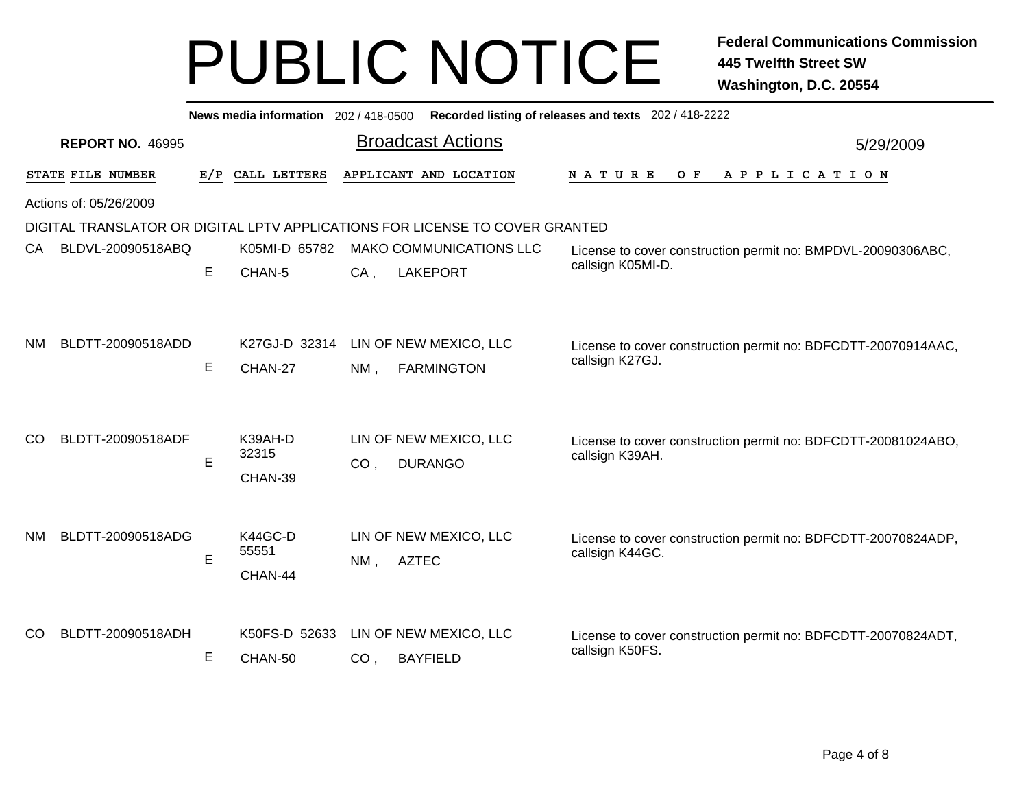|               | Recorded listing of releases and texts 202 / 418-2222<br>News media information 202/418-0500 |     |                             |                 |                                                                              |                                                                                  |           |  |  |  |
|---------------|----------------------------------------------------------------------------------------------|-----|-----------------------------|-----------------|------------------------------------------------------------------------------|----------------------------------------------------------------------------------|-----------|--|--|--|
|               | <b>REPORT NO. 46995</b>                                                                      |     |                             |                 | <b>Broadcast Actions</b>                                                     |                                                                                  | 5/29/2009 |  |  |  |
|               | STATE FILE NUMBER                                                                            | E/P | CALL LETTERS                |                 | APPLICANT AND LOCATION                                                       | N A T U R E<br>O F<br>A P P L I C A T I O N                                      |           |  |  |  |
|               | Actions of: 05/26/2009                                                                       |     |                             |                 |                                                                              |                                                                                  |           |  |  |  |
|               |                                                                                              |     |                             |                 | DIGITAL TRANSLATOR OR DIGITAL LPTV APPLICATIONS FOR LICENSE TO COVER GRANTED |                                                                                  |           |  |  |  |
| CA.           | BLDVL-20090518ABQ                                                                            |     | K05MI-D 65782               |                 | <b>MAKO COMMUNICATIONS LLC</b>                                               | License to cover construction permit no: BMPDVL-20090306ABC,                     |           |  |  |  |
|               |                                                                                              | E   | CHAN-5                      | $CA$ ,          | <b>LAKEPORT</b>                                                              | callsign K05MI-D.                                                                |           |  |  |  |
| NM.           | BLDTT-20090518ADD                                                                            | E   | K27GJ-D 32314<br>CHAN-27    | $NM$ ,          | LIN OF NEW MEXICO, LLC<br><b>FARMINGTON</b>                                  | License to cover construction permit no: BDFCDTT-20070914AAC,<br>callsign K27GJ. |           |  |  |  |
| <sub>CO</sub> | BLDTT-20090518ADF                                                                            | E   | K39AH-D<br>32315<br>CHAN-39 | CO <sub>1</sub> | LIN OF NEW MEXICO, LLC<br><b>DURANGO</b>                                     | License to cover construction permit no: BDFCDTT-20081024ABO,<br>callsign K39AH. |           |  |  |  |
| <b>NM</b>     | BLDTT-20090518ADG                                                                            | E   | K44GC-D<br>55551<br>CHAN-44 | NM,             | LIN OF NEW MEXICO, LLC<br><b>AZTEC</b>                                       | License to cover construction permit no: BDFCDTT-20070824ADP,<br>callsign K44GC. |           |  |  |  |
| <sub>CO</sub> | BLDTT-20090518ADH                                                                            | Е   | K50FS-D 52633<br>CHAN-50    | CO <sub>1</sub> | LIN OF NEW MEXICO, LLC<br><b>BAYFIELD</b>                                    | License to cover construction permit no: BDFCDTT-20070824ADT,<br>callsign K50FS. |           |  |  |  |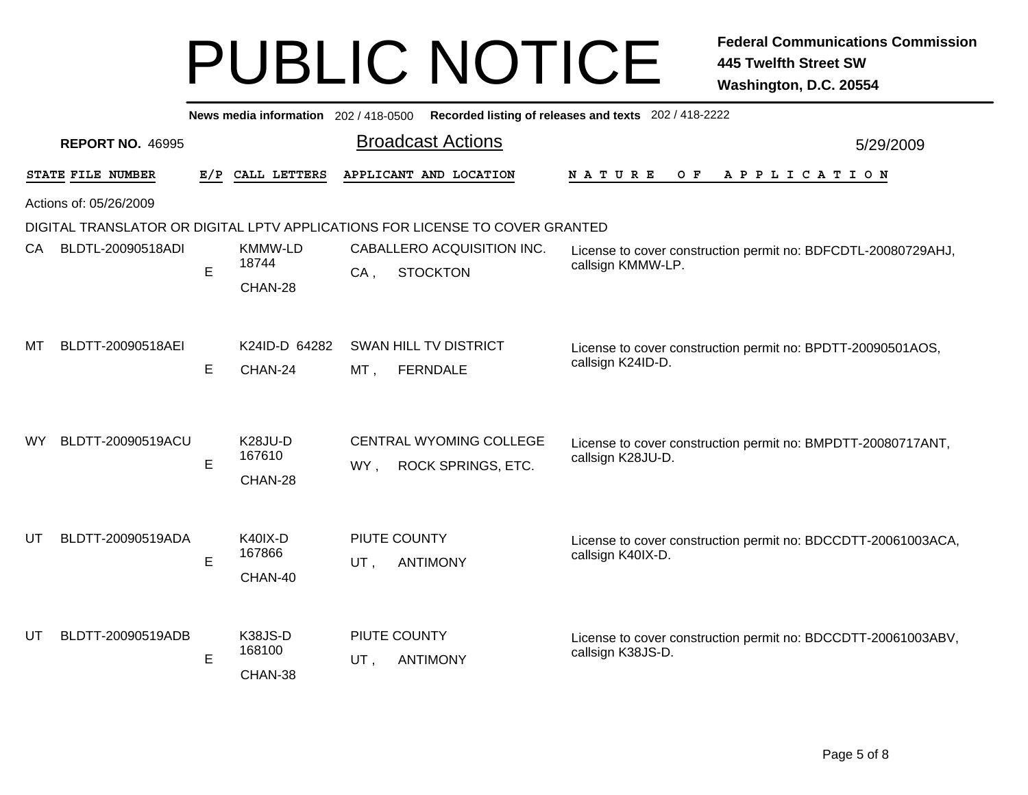|     |                                                                              |     | News media information 202/418-0500       |        |                                                             | Recorded listing of releases and texts 202 / 418-2222                              |           |  |  |
|-----|------------------------------------------------------------------------------|-----|-------------------------------------------|--------|-------------------------------------------------------------|------------------------------------------------------------------------------------|-----------|--|--|
|     | <b>REPORT NO. 46995</b>                                                      |     |                                           |        | <b>Broadcast Actions</b>                                    |                                                                                    | 5/29/2009 |  |  |
|     | STATE FILE NUMBER                                                            | E/P | CALL LETTERS                              |        | APPLICANT AND LOCATION                                      | APPLICATION<br><b>NATURE</b><br>O F                                                |           |  |  |
|     | Actions of: 05/26/2009                                                       |     |                                           |        |                                                             |                                                                                    |           |  |  |
|     | DIGITAL TRANSLATOR OR DIGITAL LPTV APPLICATIONS FOR LICENSE TO COVER GRANTED |     |                                           |        |                                                             |                                                                                    |           |  |  |
| CA  | BLDTL-20090518ADI                                                            | E   | <b>KMMW-LD</b><br>18744                   | $CA$ , | CABALLERO ACQUISITION INC.<br><b>STOCKTON</b>               | License to cover construction permit no: BDFCDTL-20080729AHJ,<br>callsign KMMW-LP. |           |  |  |
|     |                                                                              |     | CHAN-28                                   |        |                                                             |                                                                                    |           |  |  |
| MТ  | BLDTT-20090518AEI                                                            |     | K24ID-D 64282                             |        | <b>SWAN HILL TV DISTRICT</b>                                | License to cover construction permit no: BPDTT-20090501AOS,                        |           |  |  |
|     |                                                                              | E   | CHAN-24                                   | MT,    | <b>FERNDALE</b>                                             | callsign K24ID-D.                                                                  |           |  |  |
| WY. | BLDTT-20090519ACU                                                            | E   | K <sub>28</sub> JU-D<br>167610<br>CHAN-28 | WY,    | <b>CENTRAL WYOMING COLLEGE</b><br><b>ROCK SPRINGS, ETC.</b> | License to cover construction permit no: BMPDTT-20080717ANT,<br>callsign K28JU-D.  |           |  |  |
| UT  | BLDTT-20090519ADA                                                            |     | <b>K40IX-D</b>                            |        | PIUTE COUNTY                                                | License to cover construction permit no: BDCCDTT-20061003ACA,                      |           |  |  |
|     |                                                                              | E   | 167866                                    | UT,    | <b>ANTIMONY</b>                                             | callsign K40IX-D.                                                                  |           |  |  |
| UT  | BLDTT-20090519ADB                                                            | E   | CHAN-40<br>K38JS-D<br>168100<br>CHAN-38   | UT,    | PIUTE COUNTY<br><b>ANTIMONY</b>                             | License to cover construction permit no: BDCCDTT-20061003ABV,<br>callsign K38JS-D. |           |  |  |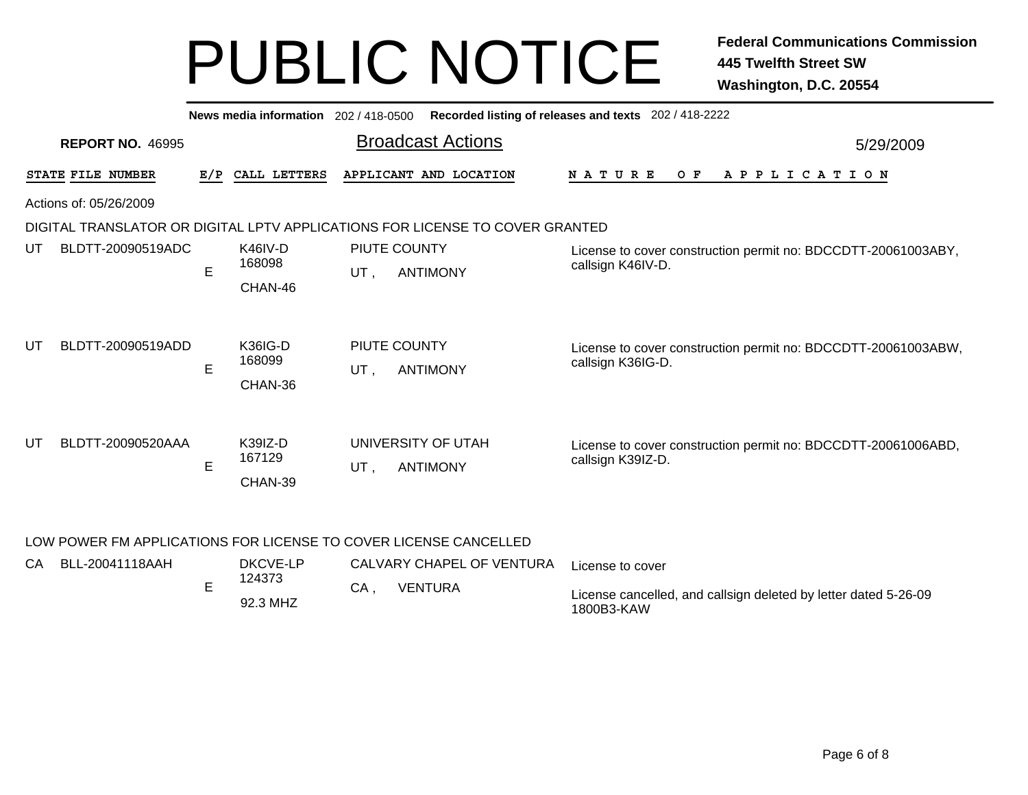|                   |                                                                  |     | News media information 202/418-0500 |     |                                                                              | Recorded listing of releases and texts 202 / 418-2222                              |           |  |  |  |
|-------------------|------------------------------------------------------------------|-----|-------------------------------------|-----|------------------------------------------------------------------------------|------------------------------------------------------------------------------------|-----------|--|--|--|
|                   | <b>REPORT NO. 46995</b>                                          |     |                                     |     | <b>Broadcast Actions</b>                                                     |                                                                                    | 5/29/2009 |  |  |  |
| STATE FILE NUMBER |                                                                  | E/P | CALL LETTERS                        |     | APPLICANT AND LOCATION                                                       | APPLICATION<br><b>NATURE</b><br>O F                                                |           |  |  |  |
|                   | Actions of: 05/26/2009                                           |     |                                     |     |                                                                              |                                                                                    |           |  |  |  |
|                   |                                                                  |     |                                     |     | DIGITAL TRANSLATOR OR DIGITAL LPTV APPLICATIONS FOR LICENSE TO COVER GRANTED |                                                                                    |           |  |  |  |
| UT                | BLDTT-20090519ADC                                                | E   | K46IV-D<br>168098<br>CHAN-46        | UT, | PIUTE COUNTY<br><b>ANTIMONY</b>                                              | License to cover construction permit no: BDCCDTT-20061003ABY,<br>callsign K46IV-D. |           |  |  |  |
| UT                | BLDTT-20090519ADD                                                | E   | <b>K36IG-D</b><br>168099<br>CHAN-36 | UT, | PIUTE COUNTY<br><b>ANTIMONY</b>                                              | License to cover construction permit no: BDCCDTT-20061003ABW,<br>callsign K36IG-D. |           |  |  |  |
| UT                | BLDTT-20090520AAA                                                | Е   | K39IZ-D<br>167129<br>CHAN-39        | UT. | UNIVERSITY OF UTAH<br><b>ANTIMONY</b>                                        | License to cover construction permit no: BDCCDTT-20061006ABD,<br>callsign K39IZ-D. |           |  |  |  |
|                   | LOW POWER FM APPLICATIONS FOR LICENSE TO COVER LICENSE CANCELLED |     |                                     |     |                                                                              |                                                                                    |           |  |  |  |

| CA | BLL-20041118AAH | DKCVE-LP           |    | CALVARY CHAPEL OF VENTURA | License to cover                                                              |
|----|-----------------|--------------------|----|---------------------------|-------------------------------------------------------------------------------|
|    |                 | 124373<br>92.3 MHZ | CA | <b>VENTURA</b>            | License cancelled, and callsign deleted by letter dated 5-26-09<br>1800B3-KAW |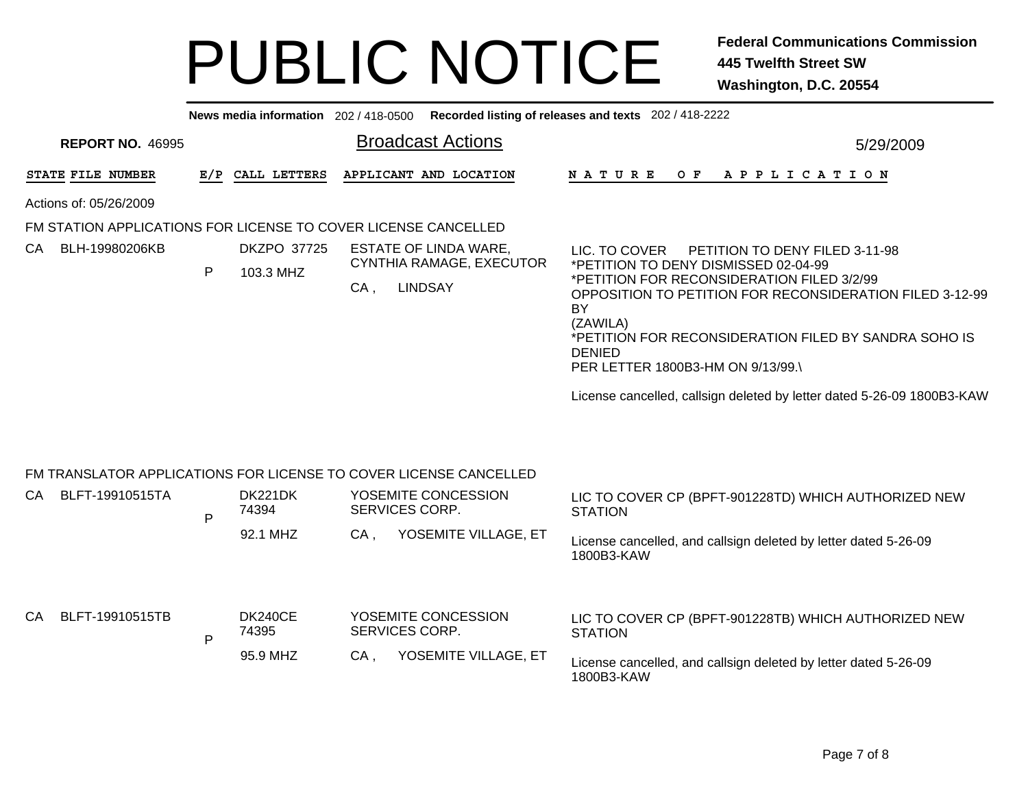|                                                                   |   | News media information $202/418-0500$ |                |                                                                     | Recorded listing of releases and texts 202 / 418-2222                                                                                                                                                                                                                                                                                                                                                       |
|-------------------------------------------------------------------|---|---------------------------------------|----------------|---------------------------------------------------------------------|-------------------------------------------------------------------------------------------------------------------------------------------------------------------------------------------------------------------------------------------------------------------------------------------------------------------------------------------------------------------------------------------------------------|
| <b>REPORT NO. 46995</b>                                           |   |                                       |                | <b>Broadcast Actions</b>                                            | 5/29/2009                                                                                                                                                                                                                                                                                                                                                                                                   |
| STATE FILE NUMBER                                                 |   | E/P CALL LETTERS                      |                | APPLICANT AND LOCATION                                              | OF APPLICATION<br>N A T U R E                                                                                                                                                                                                                                                                                                                                                                               |
| Actions of: 05/26/2009                                            |   |                                       |                |                                                                     |                                                                                                                                                                                                                                                                                                                                                                                                             |
| FM STATION APPLICATIONS FOR LICENSE TO COVER LICENSE CANCELLED    |   |                                       |                |                                                                     |                                                                                                                                                                                                                                                                                                                                                                                                             |
| CA BLH-19980206KB                                                 | P | DKZPO 37725<br>103.3 MHZ              | $CA$ .         | ESTATE OF LINDA WARE.<br>CYNTHIA RAMAGE, EXECUTOR<br><b>LINDSAY</b> | PETITION TO DENY FILED 3-11-98<br>LIC. TO COVER<br>*PETITION TO DENY DISMISSED 02-04-99<br>*PETITION FOR RECONSIDERATION FILED 3/2/99<br>OPPOSITION TO PETITION FOR RECONSIDERATION FILED 3-12-99<br>BY<br>(ZAWILA)<br>*PETITION FOR RECONSIDERATION FILED BY SANDRA SOHO IS<br><b>DENIED</b><br>PER LETTER 1800B3-HM ON 9/13/99.<br>License cancelled, callsign deleted by letter dated 5-26-09 1800B3-KAW |
| FM TRANSLATOR APPLICATIONS FOR LICENSE TO COVER LICENSE CANCELLED |   |                                       |                |                                                                     |                                                                                                                                                                                                                                                                                                                                                                                                             |
| CA BLFT-19910515TA                                                | P | DK221DK<br>74394                      | SERVICES CORP. | YOSEMITE CONCESSION                                                 | LIC TO COVER CP (BPFT-901228TD) WHICH AUTHORIZED NEW<br><b>STATION</b>                                                                                                                                                                                                                                                                                                                                      |
|                                                                   |   | 92.1 MHZ                              | CA.            | YOSEMITE VILLAGE, ET                                                | Liesnes consolled, and colleign deleted by letter detail E. 36,00                                                                                                                                                                                                                                                                                                                                           |

License cancelled, and callsign deleted by letter dated 5-26-09 1800B3-KAW

| CА | BLFT-19910515TB | DK240CE<br>74395 |     | YOSEMITE CONCESSION<br>SERVICES CORP. | LIC TO COVER CP (BPFT-901228TB) WHICH AUTHORIZED NEW<br><b>STATION</b>        |
|----|-----------------|------------------|-----|---------------------------------------|-------------------------------------------------------------------------------|
|    |                 | 95.9 MHZ         | CA. | YOSEMITE VILLAGE, ET                  | License cancelled, and callsign deleted by letter dated 5-26-09<br>1800B3-KAW |